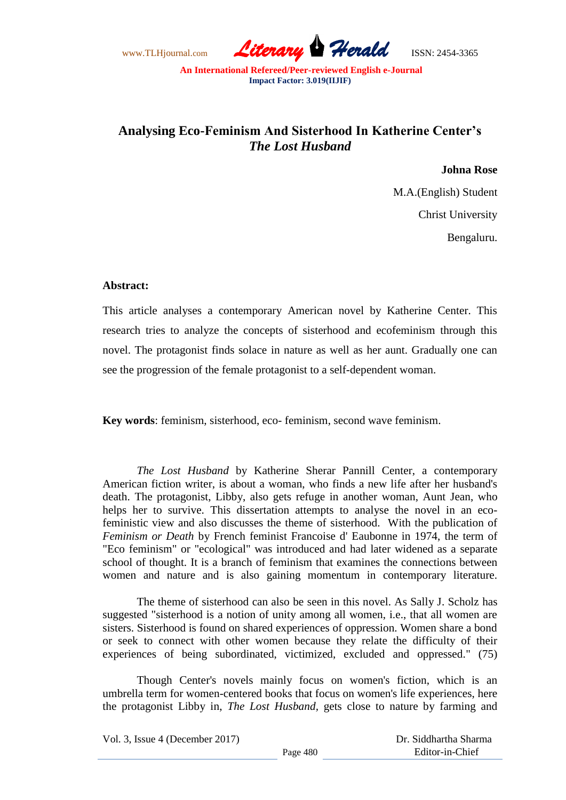www.TLHjournal.com *Literary Herald*ISSN: 2454-3365

# **Analysing Eco-Feminism And Sisterhood In Katherine Center's**  *The Lost Husband*

**Johna Rose** 

M.A.(English) Student Christ University Bengaluru.

## **Abstract:**

This article analyses a contemporary American novel by Katherine Center. This research tries to analyze the concepts of sisterhood and ecofeminism through this novel. The protagonist finds solace in nature as well as her aunt. Gradually one can see the progression of the female protagonist to a self-dependent woman.

**Key words**: feminism, sisterhood, eco- feminism, second wave feminism.

*The Lost Husband* by Katherine Sherar Pannill Center, a contemporary American fiction writer, is about a woman, who finds a new life after her husband's death. The protagonist, Libby, also gets refuge in another woman, Aunt Jean, who helps her to survive. This dissertation attempts to analyse the novel in an ecofeministic view and also discusses the theme of sisterhood. With the publication of *Feminism or Death* by French feminist Francoise d' Eaubonne in 1974, the term of "Eco feminism" or "ecological" was introduced and had later widened as a separate school of thought. It is a branch of feminism that examines the connections between women and nature and is also gaining momentum in contemporary literature.

The theme of sisterhood can also be seen in this novel. As Sally J. Scholz has suggested "sisterhood is a notion of unity among all women, i.e., that all women are sisters. Sisterhood is found on shared experiences of oppression. Women share a bond or seek to connect with other women because they relate the difficulty of their experiences of being subordinated, victimized, excluded and oppressed." (75)

Though Center's novels mainly focus on women's fiction, which is an umbrella term for women-centered books that focus on women's life experiences, here the protagonist Libby in, *The Lost Husband,* gets close to nature by farming and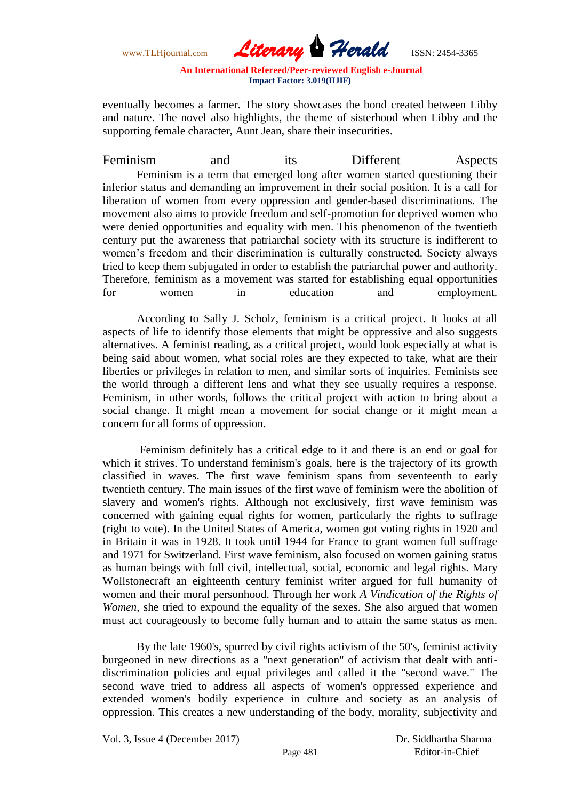www.TLHjournal.com *Literary Herald*ISSN: 2454-3365

eventually becomes a farmer. The story showcases the bond created between Libby and nature. The novel also highlights, the theme of sisterhood when Libby and the supporting female character, Aunt Jean, share their insecurities.

Feminism and its Different Aspects Feminism is a term that emerged long after women started questioning their inferior status and demanding an improvement in their social position. It is a call for liberation of women from every oppression and gender-based discriminations. The movement also aims to provide freedom and self-promotion for deprived women who were denied opportunities and equality with men. This phenomenon of the twentieth century put the awareness that patriarchal society with its structure is indifferent to women's freedom and their discrimination is culturally constructed. Society always tried to keep them subjugated in order to establish the patriarchal power and authority. Therefore, feminism as a movement was started for establishing equal opportunities for women in education and employment.

According to Sally J. Scholz, feminism is a critical project. It looks at all aspects of life to identify those elements that might be oppressive and also suggests alternatives. A feminist reading, as a critical project, would look especially at what is being said about women, what social roles are they expected to take, what are their liberties or privileges in relation to men, and similar sorts of inquiries. Feminists see the world through a different lens and what they see usually requires a response. Feminism, in other words, follows the critical project with action to bring about a social change. It might mean a movement for social change or it might mean a concern for all forms of oppression.

Feminism definitely has a critical edge to it and there is an end or goal for which it strives. To understand feminism's goals, here is the trajectory of its growth classified in waves. The first wave feminism spans from seventeenth to early twentieth century. The main issues of the first wave of feminism were the abolition of slavery and women's rights. Although not exclusively, first wave feminism was concerned with gaining equal rights for women, particularly the rights to suffrage (right to vote). In the United States of America, women got voting rights in 1920 and in Britain it was in 1928. It took until 1944 for France to grant women full suffrage and 1971 for Switzerland. First wave feminism, also focused on women gaining status as human beings with full civil, intellectual, social, economic and legal rights. Mary Wollstonecraft an eighteenth century feminist writer argued for full humanity of women and their moral personhood. Through her work *A Vindication of the Rights of Women,* she tried to expound the equality of the sexes. She also argued that women must act courageously to become fully human and to attain the same status as men.

By the late 1960's, spurred by civil rights activism of the 50's, feminist activity burgeoned in new directions as a "next generation" of activism that dealt with antidiscrimination policies and equal privileges and called it the "second wave." The second wave tried to address all aspects of women's oppressed experience and extended women's bodily experience in culture and society as an analysis of oppression. This creates a new understanding of the body, morality, subjectivity and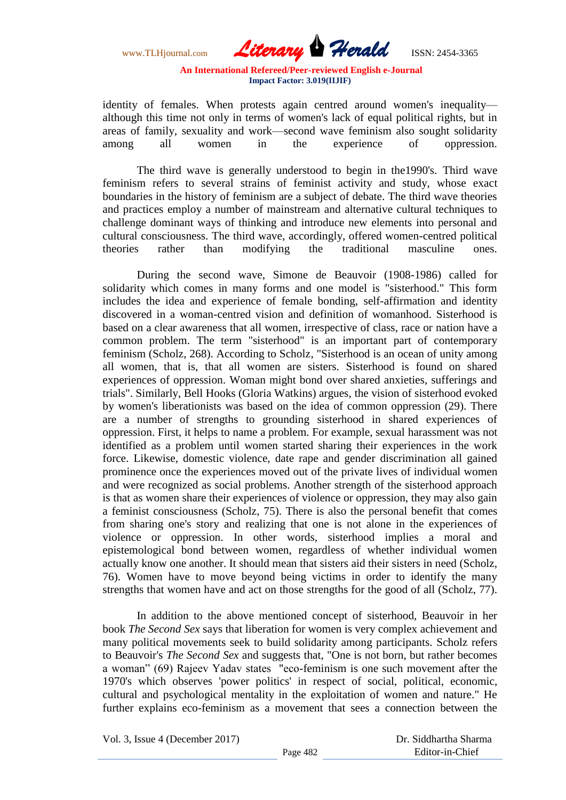www.TLHjournal.com *Literary Herald*ISSN: 2454-3365

identity of females. When protests again centred around women's inequality although this time not only in terms of women's lack of equal political rights, but in areas of family, sexuality and work—second wave feminism also sought solidarity among all women in the experience of oppression.

The third wave is generally understood to begin in the1990's. Third wave feminism refers to several strains of feminist activity and study, whose exact boundaries in the history of feminism are a subject of debate. The third wave theories and practices employ a number of mainstream and alternative cultural techniques to challenge dominant ways of thinking and introduce new elements into personal and cultural consciousness. The third wave, accordingly, offered women-centred political theories rather than modifying the traditional masculine ones.

During the second wave, Simone de Beauvoir (1908-1986) called for solidarity which comes in many forms and one model is "sisterhood." This form includes the idea and experience of female bonding, self-affirmation and identity discovered in a woman-centred vision and definition of womanhood. Sisterhood is based on a clear awareness that all women, irrespective of class, race or nation have a common problem. The term "sisterhood" is an important part of contemporary feminism (Scholz, 268). According to Scholz, "Sisterhood is an ocean of unity among all women, that is, that all women are sisters. Sisterhood is found on shared experiences of oppression. Woman might bond over shared anxieties, sufferings and trials". Similarly, Bell Hooks (Gloria Watkins) argues, the vision of sisterhood evoked by women's liberationists was based on the idea of common oppression (29). There are a number of strengths to grounding sisterhood in shared experiences of oppression. First, it helps to name a problem. For example, sexual harassment was not identified as a problem until women started sharing their experiences in the work force. Likewise, domestic violence, date rape and gender discrimination all gained prominence once the experiences moved out of the private lives of individual women and were recognized as social problems. Another strength of the sisterhood approach is that as women share their experiences of violence or oppression, they may also gain a feminist consciousness (Scholz, 75). There is also the personal benefit that comes from sharing one's story and realizing that one is not alone in the experiences of violence or oppression. In other words, sisterhood implies a moral and epistemological bond between women, regardless of whether individual women actually know one another. It should mean that sisters aid their sisters in need (Scholz, 76). Women have to move beyond being victims in order to identify the many strengths that women have and act on those strengths for the good of all (Scholz, 77).

In addition to the above mentioned concept of sisterhood, Beauvoir in her book *The Second Sex* says that liberation for women is very complex achievement and many political movements seek to build solidarity among participants. Scholz refers to Beauvoir's *The Second Sex* and suggests that, "One is not born, but rather becomes a woman" (69) Rajeev Yadav states "eco-feminism is one such movement after the 1970's which observes 'power politics' in respect of social, political, economic, cultural and psychological mentality in the exploitation of women and nature." He further explains eco-feminism as a movement that sees a connection between the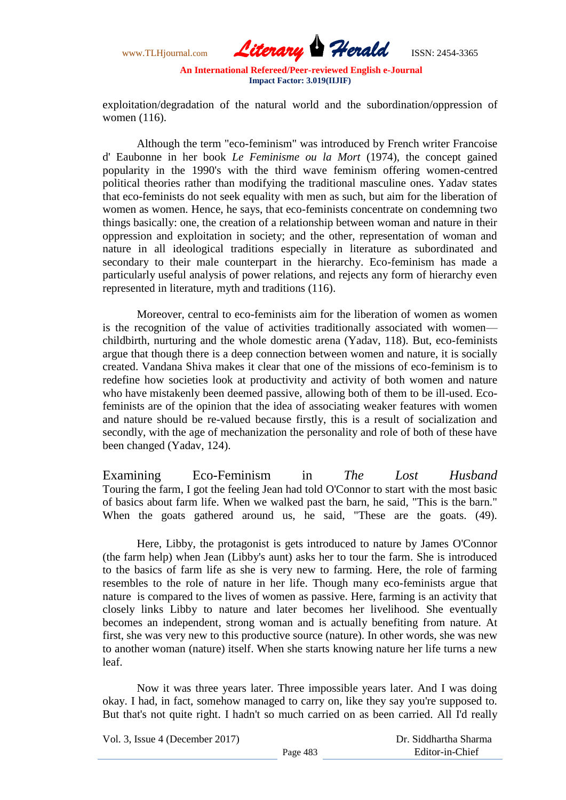www.TLHjournal.com *Literary Herald*ISSN: 2454-3365

exploitation/degradation of the natural world and the subordination/oppression of women (116).

Although the term "eco-feminism" was introduced by French writer Francoise d' Eaubonne in her book *Le Feminisme ou la Mort* (1974), the concept gained popularity in the 1990's with the third wave feminism offering women-centred political theories rather than modifying the traditional masculine ones. Yadav states that eco-feminists do not seek equality with men as such, but aim for the liberation of women as women. Hence, he says, that eco-feminists concentrate on condemning two things basically: one, the creation of a relationship between woman and nature in their oppression and exploitation in society; and the other, representation of woman and nature in all ideological traditions especially in literature as subordinated and secondary to their male counterpart in the hierarchy. Eco-feminism has made a particularly useful analysis of power relations, and rejects any form of hierarchy even represented in literature, myth and traditions (116).

Moreover, central to eco-feminists aim for the liberation of women as women is the recognition of the value of activities traditionally associated with women childbirth, nurturing and the whole domestic arena (Yadav, 118). But, eco-feminists argue that though there is a deep connection between women and nature, it is socially created. Vandana Shiva makes it clear that one of the missions of eco-feminism is to redefine how societies look at productivity and activity of both women and nature who have mistakenly been deemed passive, allowing both of them to be ill-used. Ecofeminists are of the opinion that the idea of associating weaker features with women and nature should be re-valued because firstly, this is a result of socialization and secondly, with the age of mechanization the personality and role of both of these have been changed (Yadav, 124).

Examining Eco-Feminism in *The Lost Husband* Touring the farm, I got the feeling Jean had told O'Connor to start with the most basic of basics about farm life. When we walked past the barn, he said, "This is the barn." When the goats gathered around us, he said, "These are the goats. (49).

Here, Libby, the protagonist is gets introduced to nature by James O'Connor (the farm help) when Jean (Libby's aunt) asks her to tour the farm. She is introduced to the basics of farm life as she is very new to farming. Here, the role of farming resembles to the role of nature in her life. Though many eco-feminists argue that nature is compared to the lives of women as passive. Here, farming is an activity that closely links Libby to nature and later becomes her livelihood. She eventually becomes an independent, strong woman and is actually benefiting from nature. At first, she was very new to this productive source (nature). In other words, she was new to another woman (nature) itself. When she starts knowing nature her life turns a new leaf.

Now it was three years later. Three impossible years later. And I was doing okay. I had, in fact, somehow managed to carry on, like they say you're supposed to. But that's not quite right. I hadn't so much carried on as been carried. All I'd really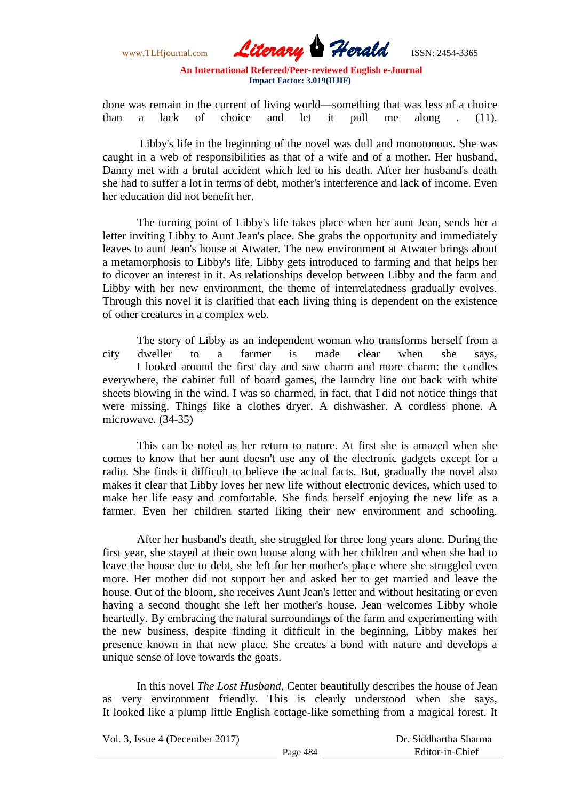www.TLHjournal.com *Literary Herald*ISSN: 2454-3365

done was remain in the current of living world—something that was less of a choice than a lack of choice and let it pull me along . (11).

Libby's life in the beginning of the novel was dull and monotonous. She was caught in a web of responsibilities as that of a wife and of a mother. Her husband, Danny met with a brutal accident which led to his death. After her husband's death she had to suffer a lot in terms of debt, mother's interference and lack of income. Even her education did not benefit her.

The turning point of Libby's life takes place when her aunt Jean, sends her a letter inviting Libby to Aunt Jean's place. She grabs the opportunity and immediately leaves to aunt Jean's house at Atwater. The new environment at Atwater brings about a metamorphosis to Libby's life. Libby gets introduced to farming and that helps her to dicover an interest in it. As relationships develop between Libby and the farm and Libby with her new environment, the theme of interrelatedness gradually evolves. Through this novel it is clarified that each living thing is dependent on the existence of other creatures in a complex web.

The story of Libby as an independent woman who transforms herself from a city dweller to a farmer is made clear when she says, I looked around the first day and saw charm and more charm: the candles everywhere, the cabinet full of board games, the laundry line out back with white sheets blowing in the wind. I was so charmed, in fact, that I did not notice things that were missing. Things like a clothes dryer. A dishwasher. A cordless phone. A microwave. (34-35)

This can be noted as her return to nature. At first she is amazed when she comes to know that her aunt doesn't use any of the electronic gadgets except for a radio. She finds it difficult to believe the actual facts. But, gradually the novel also makes it clear that Libby loves her new life without electronic devices, which used to make her life easy and comfortable. She finds herself enjoying the new life as a farmer. Even her children started liking their new environment and schooling.

After her husband's death, she struggled for three long years alone. During the first year, she stayed at their own house along with her children and when she had to leave the house due to debt, she left for her mother's place where she struggled even more. Her mother did not support her and asked her to get married and leave the house. Out of the bloom, she receives Aunt Jean's letter and without hesitating or even having a second thought she left her mother's house. Jean welcomes Libby whole heartedly. By embracing the natural surroundings of the farm and experimenting with the new business, despite finding it difficult in the beginning, Libby makes her presence known in that new place. She creates a bond with nature and develops a unique sense of love towards the goats.

In this novel *The Lost Husband,* Center beautifully describes the house of Jean as very environment friendly. This is clearly understood when she says, It looked like a plump little English cottage-like something from a magical forest. It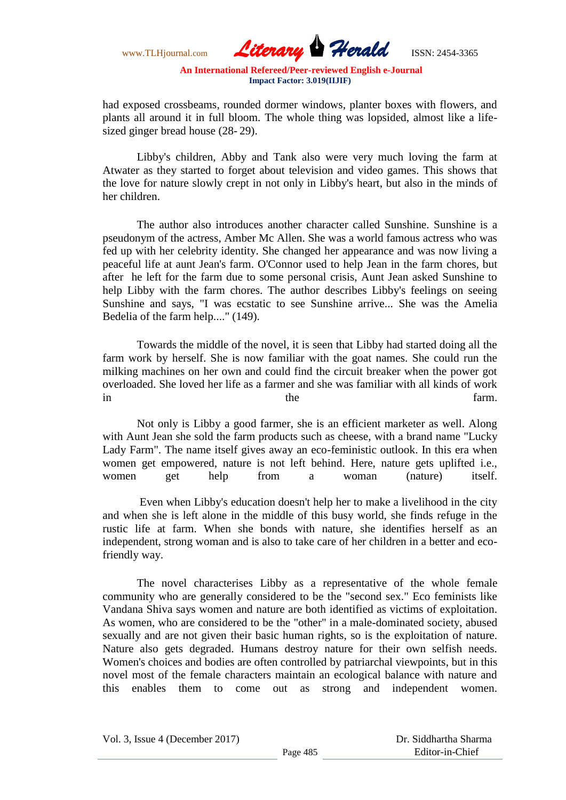www.TLHjournal.com *Literary Herald*ISSN: 2454-3365

had exposed crossbeams, rounded dormer windows, planter boxes with flowers, and plants all around it in full bloom. The whole thing was lopsided, almost like a lifesized ginger bread house (28- 29).

Libby's children, Abby and Tank also were very much loving the farm at Atwater as they started to forget about television and video games. This shows that the love for nature slowly crept in not only in Libby's heart, but also in the minds of her children.

The author also introduces another character called Sunshine. Sunshine is a pseudonym of the actress, Amber Mc Allen. She was a world famous actress who was fed up with her celebrity identity. She changed her appearance and was now living a peaceful life at aunt Jean's farm. O'Connor used to help Jean in the farm chores, but after he left for the farm due to some personal crisis, Aunt Jean asked Sunshine to help Libby with the farm chores. The author describes Libby's feelings on seeing Sunshine and says, "I was ecstatic to see Sunshine arrive... She was the Amelia Bedelia of the farm help...." (149).

Towards the middle of the novel, it is seen that Libby had started doing all the farm work by herself. She is now familiar with the goat names. She could run the milking machines on her own and could find the circuit breaker when the power got overloaded. She loved her life as a farmer and she was familiar with all kinds of work in the farm.

Not only is Libby a good farmer, she is an efficient marketer as well. Along with Aunt Jean she sold the farm products such as cheese, with a brand name "Lucky Lady Farm". The name itself gives away an eco-feministic outlook. In this era when women get empowered, nature is not left behind. Here, nature gets uplifted i.e., women get help from a woman (nature) itself.

Even when Libby's education doesn't help her to make a livelihood in the city and when she is left alone in the middle of this busy world, she finds refuge in the rustic life at farm. When she bonds with nature, she identifies herself as an independent, strong woman and is also to take care of her children in a better and ecofriendly way.

The novel characterises Libby as a representative of the whole female community who are generally considered to be the "second sex." Eco feminists like Vandana Shiva says women and nature are both identified as victims of exploitation. As women, who are considered to be the "other" in a male-dominated society, abused sexually and are not given their basic human rights, so is the exploitation of nature. Nature also gets degraded. Humans destroy nature for their own selfish needs. Women's choices and bodies are often controlled by patriarchal viewpoints, but in this novel most of the female characters maintain an ecological balance with nature and this enables them to come out as strong and independent women.

Vol. 3, Issue 4 (December 2017)

Page 485

 Dr. Siddhartha Sharma Editor-in-Chief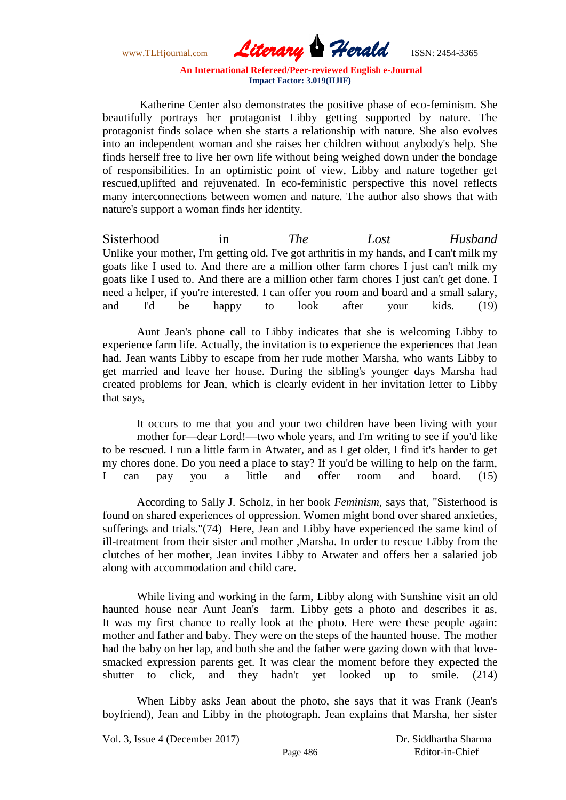www.TLHjournal.com *Literary Herald*ISSN: 2454-3365

Katherine Center also demonstrates the positive phase of eco-feminism. She beautifully portrays her protagonist Libby getting supported by nature. The protagonist finds solace when she starts a relationship with nature. She also evolves into an independent woman and she raises her children without anybody's help. She finds herself free to live her own life without being weighed down under the bondage of responsibilities. In an optimistic point of view, Libby and nature together get rescued,uplifted and rejuvenated. In eco-feministic perspective this novel reflects many interconnections between women and nature. The author also shows that with nature's support a woman finds her identity.

Sisterhood in *The Lost Husband* Unlike your mother, I'm getting old. I've got arthritis in my hands, and I can't milk my goats like I used to. And there are a million other farm chores I just can't milk my goats like I used to. And there are a million other farm chores I just can't get done. I need a helper, if you're interested. I can offer you room and board and a small salary, and I'd be happy to look after your kids. (19)

Aunt Jean's phone call to Libby indicates that she is welcoming Libby to experience farm life. Actually, the invitation is to experience the experiences that Jean had. Jean wants Libby to escape from her rude mother Marsha, who wants Libby to get married and leave her house. During the sibling's younger days Marsha had created problems for Jean, which is clearly evident in her invitation letter to Libby that says,

It occurs to me that you and your two children have been living with your mother for—dear Lord!—two whole years, and I'm writing to see if you'd like to be rescued. I run a little farm in Atwater, and as I get older, I find it's harder to get my chores done. Do you need a place to stay? If you'd be willing to help on the farm, I can pay you a little and offer room and board. (15)

According to Sally J. Scholz, in her book *Feminism*, says that, "Sisterhood is found on shared experiences of oppression. Women might bond over shared anxieties, sufferings and trials."(74) Here, Jean and Libby have experienced the same kind of ill-treatment from their sister and mother ,Marsha. In order to rescue Libby from the clutches of her mother, Jean invites Libby to Atwater and offers her a salaried job along with accommodation and child care.

While living and working in the farm, Libby along with Sunshine visit an old haunted house near Aunt Jean's farm. Libby gets a photo and describes it as, It was my first chance to really look at the photo. Here were these people again: mother and father and baby. They were on the steps of the haunted house. The mother had the baby on her lap, and both she and the father were gazing down with that lovesmacked expression parents get. It was clear the moment before they expected the shutter to click, and they hadn't yet looked up to smile. (214)

When Libby asks Jean about the photo, she says that it was Frank (Jean's boyfriend), Jean and Libby in the photograph. Jean explains that Marsha, her sister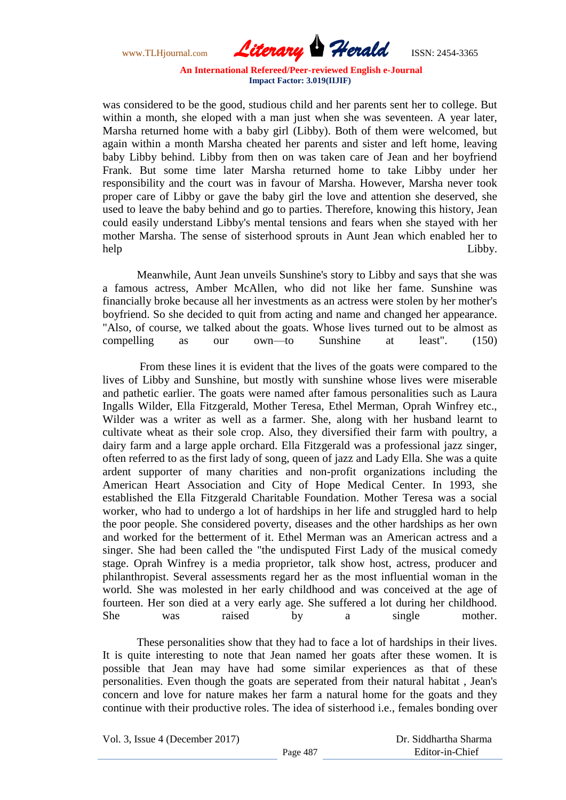www.TLHjournal.com *Literary Herald*ISSN: 2454-3365

was considered to be the good, studious child and her parents sent her to college. But within a month, she eloped with a man just when she was seventeen. A year later, Marsha returned home with a baby girl (Libby). Both of them were welcomed, but again within a month Marsha cheated her parents and sister and left home, leaving baby Libby behind. Libby from then on was taken care of Jean and her boyfriend Frank. But some time later Marsha returned home to take Libby under her responsibility and the court was in favour of Marsha. However, Marsha never took proper care of Libby or gave the baby girl the love and attention she deserved, she used to leave the baby behind and go to parties. Therefore, knowing this history, Jean could easily understand Libby's mental tensions and fears when she stayed with her mother Marsha. The sense of sisterhood sprouts in Aunt Jean which enabled her to help Libby.

Meanwhile, Aunt Jean unveils Sunshine's story to Libby and says that she was a famous actress, Amber McAllen, who did not like her fame. Sunshine was financially broke because all her investments as an actress were stolen by her mother's boyfriend. So she decided to quit from acting and name and changed her appearance. "Also, of course, we talked about the goats. Whose lives turned out to be almost as compelling as our own—to Sunshine at least". (150)

From these lines it is evident that the lives of the goats were compared to the lives of Libby and Sunshine, but mostly with sunshine whose lives were miserable and pathetic earlier. The goats were named after famous personalities such as Laura Ingalls Wilder, Ella Fitzgerald, Mother Teresa, Ethel Merman, Oprah Winfrey etc., Wilder was a writer as well as a farmer. She, along with her husband learnt to cultivate wheat as their sole crop. Also, they diversified their farm with poultry, a dairy farm and a large apple orchard. Ella Fitzgerald was a professional jazz singer, often referred to as the first lady of song, queen of jazz and Lady Ella. She was a quite ardent supporter of many charities and non-profit organizations including the American Heart Association and City of Hope Medical Center. In 1993, she established the Ella Fitzgerald Charitable Foundation. Mother Teresa was a social worker, who had to undergo a lot of hardships in her life and struggled hard to help the poor people. She considered poverty, diseases and the other hardships as her own and worked for the betterment of it. Ethel Merman was an American actress and a singer. She had been called the "the undisputed First Lady of the musical comedy stage. Oprah Winfrey is a media proprietor, talk show host, actress, producer and philanthropist. Several assessments regard her as the most influential woman in the world. She was molested in her early childhood and was conceived at the age of fourteen. Her son died at a very early age. She suffered a lot during her childhood. She was raised by a single mother.

These personalities show that they had to face a lot of hardships in their lives. It is quite interesting to note that Jean named her goats after these women. It is possible that Jean may have had some similar experiences as that of these personalities. Even though the goats are seperated from their natural habitat , Jean's concern and love for nature makes her farm a natural home for the goats and they continue with their productive roles. The idea of sisterhood i.e., females bonding over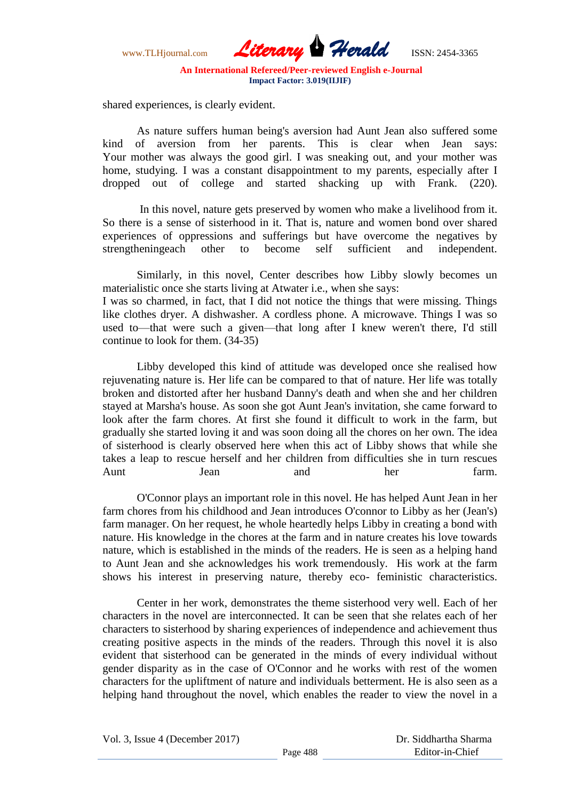www.TLHjournal.com *Literary Herald*ISSN: 2454-3365

shared experiences, is clearly evident.

As nature suffers human being's aversion had Aunt Jean also suffered some kind of aversion from her parents. This is clear when Jean says: Your mother was always the good girl. I was sneaking out, and your mother was home, studying. I was a constant disappointment to my parents, especially after I dropped out of college and started shacking up with Frank. (220).

In this novel, nature gets preserved by women who make a livelihood from it. So there is a sense of sisterhood in it. That is, nature and women bond over shared experiences of oppressions and sufferings but have overcome the negatives by strengtheningeach other to become self sufficient and independent.

Similarly, in this novel, Center describes how Libby slowly becomes un materialistic once she starts living at Atwater i.e., when she says:

I was so charmed, in fact, that I did not notice the things that were missing. Things like clothes dryer. A dishwasher. A cordless phone. A microwave. Things I was so used to—that were such a given—that long after I knew weren't there, I'd still continue to look for them. (34-35)

Libby developed this kind of attitude was developed once she realised how rejuvenating nature is. Her life can be compared to that of nature. Her life was totally broken and distorted after her husband Danny's death and when she and her children stayed at Marsha's house. As soon she got Aunt Jean's invitation, she came forward to look after the farm chores. At first she found it difficult to work in the farm, but gradually she started loving it and was soon doing all the chores on her own. The idea of sisterhood is clearly observed here when this act of Libby shows that while she takes a leap to rescue herself and her children from difficulties she in turn rescues Aunt Jean and her farm.

O'Connor plays an important role in this novel. He has helped Aunt Jean in her farm chores from his childhood and Jean introduces O'connor to Libby as her (Jean's) farm manager. On her request, he whole heartedly helps Libby in creating a bond with nature. His knowledge in the chores at the farm and in nature creates his love towards nature, which is established in the minds of the readers. He is seen as a helping hand to Aunt Jean and she acknowledges his work tremendously. His work at the farm shows his interest in preserving nature, thereby eco- feministic characteristics.

Center in her work, demonstrates the theme sisterhood very well. Each of her characters in the novel are interconnected. It can be seen that she relates each of her characters to sisterhood by sharing experiences of independence and achievement thus creating positive aspects in the minds of the readers. Through this novel it is also evident that sisterhood can be generated in the minds of every individual without gender disparity as in the case of O'Connor and he works with rest of the women characters for the upliftment of nature and individuals betterment. He is also seen as a helping hand throughout the novel, which enables the reader to view the novel in a